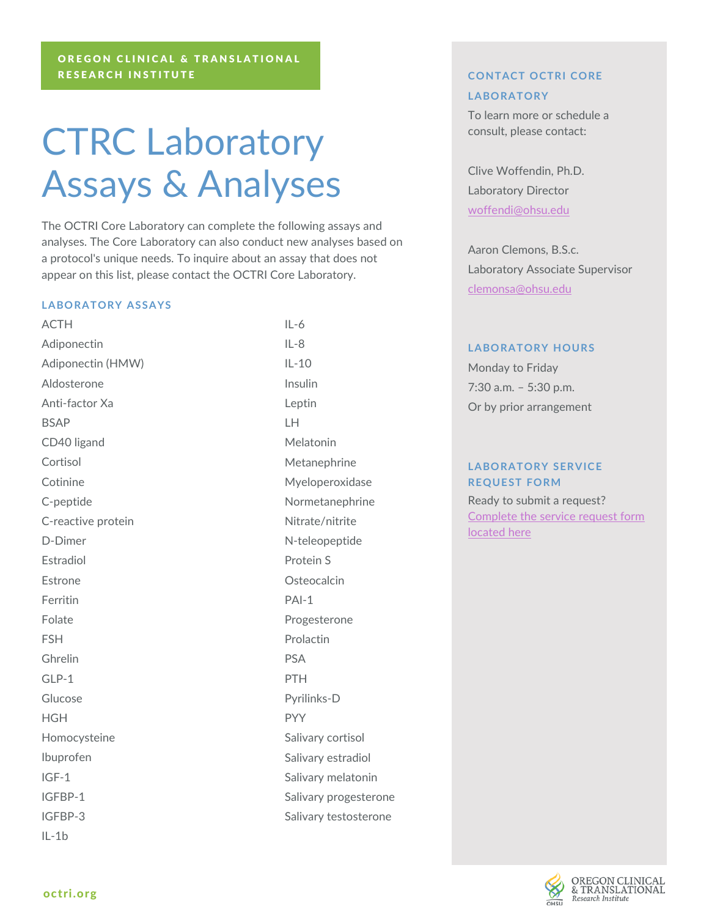# CTRC Laboratory Assays & Analyses

The OCTRI Core Laboratory can complete the following assays and analyses. The Core Laboratory can also conduct new analyses based on a protocol's unique needs. To inquire about an assay that does not appear on this list, please contact the OCTRI Core Laboratory.

#### **LABORATORY ASSAYS**

ACTH Adiponectin Adiponectin (HMW) Aldosterone Anti-factor Xa BSAP CD40 ligand Cortisol **Cotinine** C-peptide C-reactive protein D-Dimer Estradiol Estrone Ferritin Folate FSH Ghrelin  $GIP-1$ Glucose **HGH** Homocysteine Ibuprofen IGF-1 IGFBP-1 IGFBP-3 IL-1b

 $II - 6$ IL-8 IL-10 Insulin Leptin LH Melatonin Metanephrine Myeloperoxidase Normetanephrine Nitrate/nitrite N-teleopeptide Protein S **Osteocalcin** PAI-1 Progesterone Prolactin PSA PTH Pyrilinks-D PYY Salivary cortisol Salivary estradiol Salivary melatonin Salivary progesterone Salivary testosterone

## **CONTACT OCTRI CORE LABORATORY**

To learn more or schedule a consult, please contact:

Clive Woffendin, Ph.D. Laboratory Director [woffendi@ohsu.edu](mailto:woffendi@ohsu.edu)

Aaron Clemons, B.S.c. Laboratory Associate Supervisor [clemonsa@ohsu.edu](mailto:woffendi@ohsu.edu)

#### **LABORATORY HOURS**

Monday to Friday 7:30 a.m. – 5:30 p.m. Or by prior arrangement

### **LABORATORY SERVICE REQUEST FORM**

Ready to submit a request? [Complete the service request form](https://octri.ohsu.edu/redcap/surveys/?s=jKxNzqKq3p)  [located here](https://octri.ohsu.edu/redcap/surveys/?s=jKxNzqKq3p)